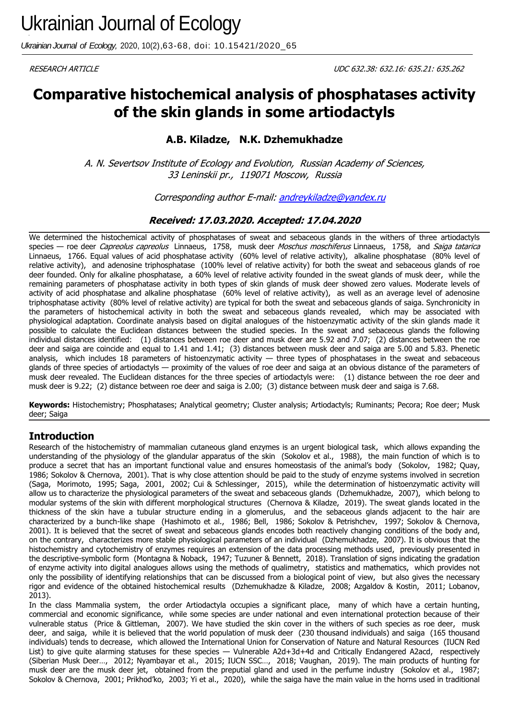*Ukrainian Journal of Ecology,* 2020, 10(2),63-68, doi: 10.15421/2020\_65

# **Comparative histochemical analysis of phosphatases activity of the skin glands in some artiodactyls**

# **A.B. Kiladze, N.K. Dzhemukhadze**

A. N. Severtsov Institute of Ecology and Evolution, Russian Academy of Sciences, 33 Leninskii pr., 119071 Moscow, Russia

Corresponding author E-mail: [andreykiladze@yandex.ru](mailto:andreykiladze@yandex.ru)

## **Received: 17.03.2020. Accepted: 17.04.2020**

We determined the histochemical activity of phosphatases of sweat and sebaceous glands in the withers of three artiodactyls species — roe deer Capreolus capreolus Linnaeus, 1758, musk deer Moschus moschiferus Linnaeus, 1758, and Saiga tatarica Linnaeus, 1766. Equal values of acid phosphatase activity (60% level of relative activity), alkaline phosphatase (80% level of relative activity), and adenosine triphosphatase (100% level of relative activity) for both the sweat and sebaceous glands of roe deer founded. Only for alkaline phosphatase, a 60% level of relative activity founded in the sweat glands of musk deer, while the remaining parameters of phosphatase activity in both types of skin glands of musk deer showed zero values. Moderate levels of activity of acid phosphatase and alkaline phosphatase (60% level of relative activity), as well as an average level of adenosine triphosphatase activity (80% level of relative activity) are typical for both the sweat and sebaceous glands of saiga. Synchronicity in the parameters of histochemical activity in both the sweat and sebaceous glands revealed, which may be associated with physiological adaptation. Coordinate analysis based on digital analogues of the histoenzymatic activity of the skin glands made it possible to calculate the Euclidean distances between the studied species. In the sweat and sebaceous glands the following individual distances identified: (1) distances between roe deer and musk deer are 5.92 and 7.07; (2) distances between the roe deer and saiga are coincide and equal to 1.41 and 1.41; (3) distances between musk deer and saiga are 5.00 and 5.83. Phenetic analysis, which includes 18 parameters of histoenzymatic activity — three types of phosphatases in the sweat and sebaceous glands of three species of artiodactyls — proximity of the values of roe deer and saiga at an obvious distance of the parameters of musk deer revealed. The Euclidean distances for the three species of artiodactyls were: (1) distance between the roe deer and musk deer is 9.22; (2) distance between roe deer and saiga is 2.00; (3) distance between musk deer and saiga is 7.68.

**Keywords:** Histochemistry; Phosphatases; Analytical geometry; Cluster analysis; Artiodactyls; Ruminants; Pecora; Roe deer; Musk deer; Saiga

# **Introduction**

Research of the histochemistry of mammalian cutaneous gland enzymes is an urgent biological task, which allows expanding the understanding of the physiology of the glandular apparatus of the skin (Sokolov et al., 1988), the main function of which is to produce a secret that has an important functional value and ensures homeostasis of the animal's body (Sokolov, 1982; Quay, 1986; Sokolov & Chernova, 2001). That is why close attention should be paid to the study of enzyme systems involved in secretion (Saga, Morimoto, 1995; Saga, 2001, 2002; Cui & Schlessinger, 2015), while the determination of histoenzymatic activity will allow us to characterize the physiological parameters of the sweat and sebaceous glands (Dzhemukhadze, 2007), which belong to modular systems of the skin with different morphological structures (Chernova & Kiladze, 2019). The sweat glands located in the thickness of the skin have a tubular structure ending in a glomerulus, and the sebaceous glands adjacent to the hair are characterized by a bunch-like shape (Hashimoto et al., 1986; Bell, 1986; Sokolov & Petrishchev, 1997; Sokolov & Chernova, 2001). It is believed that the secret of sweat and sebaceous glands encodes both reactively changing conditions of the body and, on the contrary, characterizes more stable physiological parameters of an individual (Dzhemukhadze, 2007). It is obvious that the histochemistry and cytochemistry of enzymes requires an extension of the data processing methods used, previously presented in the descriptive-symbolic form (Montagna & Noback, 1947; Tuzuner & Bennett, 2018). Translation of signs indicating the gradation of enzyme activity into digital analogues allows using the methods of qualimetry, statistics and mathematics, which provides not only the possibility of identifying relationships that can be discussed from a biological point of view, but also gives the necessary rigor and evidence of the obtained histochemical results (Dzhemukhadze & Kiladze, 2008; Azgaldov & Kostin, 2011; Lobanov, 2013).

In the class Mammalia system, the order Artiodactyla occupies a significant place, many of which have a certain hunting, commercial and economic significance, while some species are under national and even international protection because of their vulnerable status (Price & Gittleman, 2007). We have studied the skin cover in the withers of such species as roe deer, musk deer, and saiga, while it is believed that the world population of musk deer (230 thousand individuals) and saiga (165 thousand individuals) tends to decrease, which allowed the International Union for Conservation of Nature and Natural Resources (IUCN Red List) to give quite alarming statuses for these species — Vulnerable A2d+3d+4d and Critically Endangered A2acd, respectively (Siberian Musk Deer…, 2012; Nyambayar et al., 2015; IUCN SSC…, 2018; Vaughan, 2019). The main products of hunting for musk deer are the musk deer jet, obtained from the preputial gland and used in the perfume industry (Sokolov et al., 1987; Sokolov & Chernova, 2001; Prikhod'ko, 2003; Yi et al., 2020), while the saiga have the main value in the horns used in traditional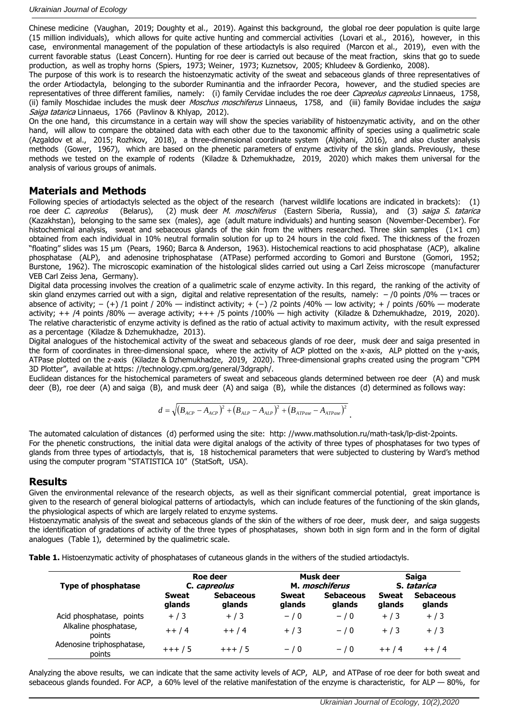Chinese medicine (Vaughan, 2019; Doughty et al., 2019). Against this background, the global roe deer population is quite large (15 million individuals), which allows for quite active hunting and commercial activities (Lovari et al., 2016), however, in this case, environmental management of the population of these artiodactyls is also required (Marcon et al., 2019), even with the current favorable status (Least Concern). Hunting for roe deer is carried out because of the meat fraction, skins that go to suede production, as well as trophy horns (Spiers, 1973; Weiner, 1973; Kuznetsov, 2005; Khludeev & Gordienko, 2008).

The purpose of this work is to research the histoenzymatic activity of the sweat and sebaceous glands of three representatives of the order Artiodactyla, belonging to the suborder Ruminantia and the infraorder Pecora, however, and the studied species are representatives of three different families, namely: (i) family Cervidae includes the roe deer Capreolus capreolus Linnaeus, 1758, (ii) family Moschidae includes the musk deer *Moschus moschiferus* Linnaeus, 1758, and (iii) family Bovidae includes the saiga Saiga tatarica Linnaeus, 1766 (Pavlinov & Khlyap, 2012).

On the one hand, this circumstance in a certain way will show the species variability of histoenzymatic activity, and on the other hand, will allow to compare the obtained data with each other due to the taxonomic affinity of species using a qualimetric scale (Azgaldov et al., 2015; Rozhkov, 2018), a three-dimensional coordinate system (Aljohani, 2016), and also cluster analysis methods (Gower, 1967), which are based on the phenetic parameters of enzyme activity of the skin glands. Previously, these methods we tested on the example of rodents (Kiladze & Dzhemukhadze, 2019, 2020) which makes them universal for the analysis of various groups of animals.

# **Materials and Methods**

Following species of artiodactyls selected as the object of the research (harvest wildlife locations are indicated in brackets): (1) roe deer C. capreolus (Belarus), (2) musk deer M. moschiferus (Eastern Siberia, Russia), and (3) saiga S. tatarica (Kazakhstan), belonging to the same sex (males), age (adult mature individuals) and hunting season (November-December). For histochemical analysis, sweat and sebaceous glands of the skin from the withers researched. Three skin samples  $(1 \times 1$  cm) obtained from each individual in 10% neutral formalin solution for up to 24 hours in the cold fixed. The thickness of the frozen ―floating‖ slides was 15 μm (Pears, 1960; Barca & Anderson, 1963). Histochemical reactions to acid phosphatase (ACP), alkaline phosphatase (ALP), and adenosine triphosphatase (ATPase) performed according to Gomori and Burstone (Gomori, 1952; Burstone, 1962). The microscopic examination of the histological slides carried out using a Carl Zeiss microscope (manufacturer VEB Carl Zeiss Jena, Germany).

Digital data processing involves the creation of a qualimetric scale of enzyme activity. In this regard, the ranking of the activity of skin gland enzymes carried out with a sign, digital and relative representation of the results, namely:  $-$  /0 points /0%  $-$  traces or absence of activity; − (+) /1 point / 20% — indistinct activity; + (−) /2 points /40% — low activity; + / points /60% — moderate activity;  $++$  /4 points /80%  $-$  average activity;  $++$  /5 points /100%  $-$  high activity (Kiladze & Dzhemukhadze, 2019, 2020). The relative characteristic of enzyme activity is defined as the ratio of actual activity to maximum activity, with the result expressed as a percentage (Kiladze & Dzhemukhadze, 2013).

Digital analogues of the histochemical activity of the sweat and sebaceous glands of roe deer, musk deer and saiga presented in the form of coordinates in three-dimensional space, where the activity of ACP plotted on the x-axis, ALP plotted on the y-axis, ATPase plotted on the z-axis (Kiladze & Dzhemukhadze, 2019, 2020). Three-dimensional graphs created using the program "CPM 3D Plotter", available at [https: //technology.cpm.org/general/3dgraph/.](https://technology.cpm.org/general/3dgraph/)

Euclidean distances for the histochemical parameters of sweat and sebaceous glands determined between roe deer (A) and musk deer (B), roe deer (A) and saiga (B), and musk deer (A) and saiga (B), while the distances (d) determined as follows way:

$$
d = \sqrt{(B_{ACP} - A_{ACP})^2 + (B_{ALP} - A_{ALP})^2 + (B_{ATPase} - A_{ATPase})^2}
$$

The automated calculation of distances (d) performed using the site: [http: //www.mathsolution.ru/math-task/lp-dist-2points.](http://www.mathsolution.ru/math-task/lp-dist-2points) For the phenetic constructions, the initial data were digital analogs of the activity of three types of phosphatases for two types of glands from three types of artiodactyls, that is, 18 histochemical parameters that were subjected to clustering by Ward's method using the computer program "STATISTICA 10" (StatSoft, USA).

## **Results**

Given the environmental relevance of the research objects, as well as their significant commercial potential, great importance is given to the research of general biological patterns of artiodactyls, which can include features of the functioning of the skin glands, the physiological aspects of which are largely related to enzyme systems.

Histoenzymatic analysis of the sweat and sebaceous glands of the skin of the withers of roe deer, musk deer, and saiga suggests the identification of gradations of activity of the three types of phosphatases, shown both in sign form and in the form of digital analogues (Table 1), determined by the qualimetric scale.

**Table 1.** Histoenzymatic activity of phosphatases of cutaneous glands in the withers of the studied artiodactyls.

| <b>Type of phosphatase</b>          | Roe deer<br>C. capreolus |                            | Musk deer<br>M. <i>moschiferus</i> |                            | Saiga<br>S. tatarica   |                            |
|-------------------------------------|--------------------------|----------------------------|------------------------------------|----------------------------|------------------------|----------------------------|
|                                     | <b>Sweat</b><br>glands   | <b>Sebaceous</b><br>glands | <b>Sweat</b><br>glands             | <b>Sebaceous</b><br>glands | <b>Sweat</b><br>glands | <b>Sebaceous</b><br>glands |
| Acid phosphatase, points            | $+/3$                    | $+ / 3$                    | $-10$                              | $- / 0$                    | $+ / 3$                | $+ / 3$                    |
| Alkaline phosphatase,<br>points     | $++/4$                   | $++/4$                     | $+/3$                              | $-10$                      | $+/3$                  | $+/3$                      |
| Adenosine triphosphatase,<br>points | $+++/5$                  | $+++/5$                    | $-10$                              | $-10$                      | $++/4$                 | $++/4$                     |

Analyzing the above results, we can indicate that the same activity levels of ACP, ALP, and ATPase of roe deer for both sweat and sebaceous glands founded. For ACP, a 60% level of the relative manifestation of the enzyme is characteristic, for ALP  $-$  80%, for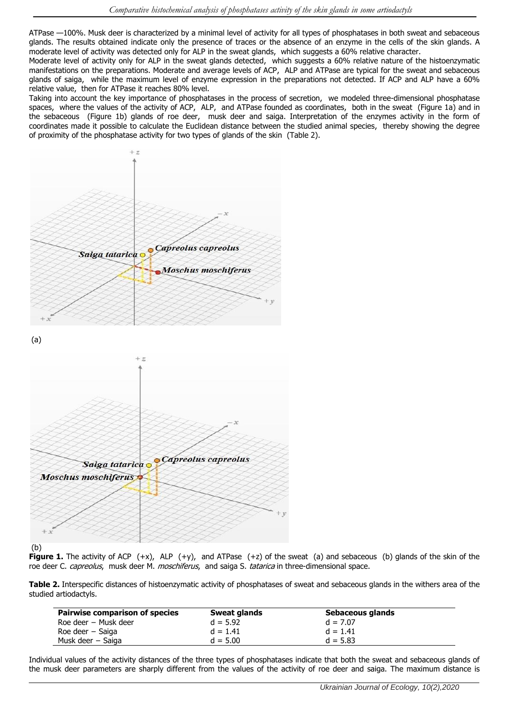ATPase —100%. Musk deer is characterized by a minimal level of activity for all types of phosphatases in both sweat and sebaceous glands. The results obtained indicate only the presence of traces or the absence of an enzyme in the cells of the skin glands. A moderate level of activity was detected only for ALP in the sweat glands, which suggests a 60% relative character.

Moderate level of activity only for ALP in the sweat glands detected, which suggests a 60% relative nature of the histoenzymatic manifestations on the preparations. Moderate and average levels of ACP, ALP and ATPase are typical for the sweat and sebaceous glands of saiga, while the maximum level of enzyme expression in the preparations not detected. If ACP and ALP have a 60% relative value, then for ATPase it reaches 80% level.

Taking into account the key importance of phosphatases in the process of secretion, we modeled three-dimensional phosphatase spaces, where the values of the activity of ACP, ALP, and ATPase founded as coordinates, both in the sweat (Figure 1a) and in the sebaceous (Figure 1b) glands of roe deer, musk deer and saiga. Interpretation of the enzymes activity in the form of coordinates made it possible to calculate the Euclidean distance between the studied animal species, thereby showing the degree of proximity of the phosphatase activity for two types of glands of the skin (Table 2).



#### (b)

**Figure 1.** The activity of ACP (+x), ALP (+y), and ATPase (+z) of the sweat (a) and sebaceous (b) glands of the skin of the roe deer C. capreolus, musk deer M. moschiferus, and saiga S. tatarica in three-dimensional space.

**Table 2.** Interspecific distances of histoenzymatic activity of phosphatases of sweat and sebaceous glands in the withers area of the studied artiodactyls.

| <b>Pairwise comparison of species</b> | Sweat glands | Sebaceous glands |  |
|---------------------------------------|--------------|------------------|--|
| Roe deer – Musk deer                  | $d = 5.92$   | $d = 7.07$       |  |
| Roe deer $-$ Saiga                    | $d = 1.41$   | $d = 1.41$       |  |
| Musk deer – Saiga                     | $d = 5.00$   | $d = 5.83$       |  |
|                                       |              |                  |  |

Individual values of the activity distances of the three types of phosphatases indicate that both the sweat and sebaceous glands of the musk deer parameters are sharply different from the values of the activity of roe deer and saiga. The maximum distance is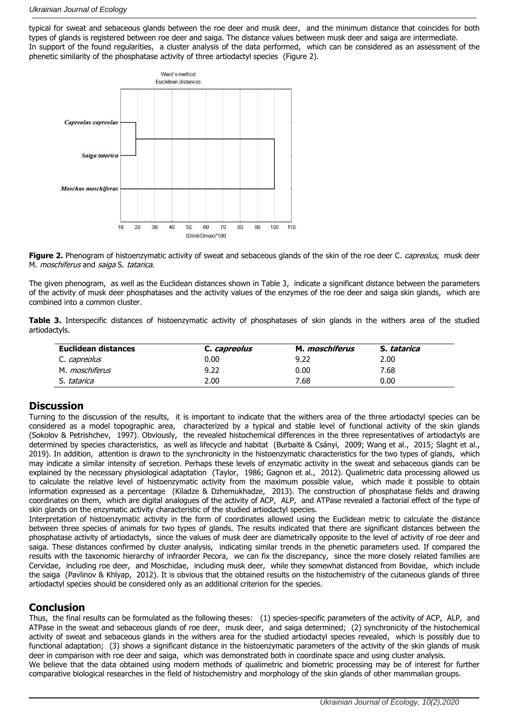typical for sweat and sebaceous glands between the roe deer and musk deer, and the minimum distance that coincides for both types of glands is registered between roe deer and saiga. The distance values between musk deer and saiga are intermediate. In support of the found regularities, a cluster analysis of the data performed, which can be considered as an assessment of the phenetic similarity of the phosphatase activity of three artiodactyl species (Figure 2).



Figure 2. Phenogram of histoenzymatic activity of sweat and sebaceous glands of the skin of the roe deer C. *capreolus*, musk deer M. *moschiferus* and *saiga* S. tatarica.

The given phenogram, as well as the Euclidean distances shown in Table 3, indicate a significant distance between the parameters of the activity of musk deer phosphatases and the activity values of the enzymes of the roe deer and saiga skin glands, which are combined into a common cluster.

**Table 3.** Interspecific distances of histoenzymatic activity of phosphatases of skin glands in the withers area of the studied artiodactyls.

| Euclidean distances   | C. capreolus | M. <i>moschiferus</i> | S. tatarica |  |
|-----------------------|--------------|-----------------------|-------------|--|
| C. <i>capreolus</i>   | 0.00         | 9.22                  | 2.00        |  |
| M. <i>moschiferus</i> | 9.22         | 0.00                  | 7.68        |  |
| S. tatarica           | 2.00         | 7.68                  | 0.00        |  |

# **Discussion**

Turning to the discussion of the results, it is important to indicate that the withers area of the three artiodactyl species can be considered as a model topographic area, characterized by a typical and stable level of functional activity of the skin glands (Sokolov & Petrishchev, 1997). Obviously, the revealed histochemical differences in the three representatives of artiodactyls are determined by species characteristics, as well as lifecycle and habitat (Burbaitė & Csányi, 2009; Wang et al., 2015; Slaght et al., 2019). In addition, attention is drawn to the synchronicity in the histoenzymatic characteristics for the two types of glands, which may indicate a similar intensity of secretion. Perhaps these levels of enzymatic activity in the sweat and sebaceous glands can be explained by the necessary physiological adaptation (Taylor, 1986; Gagnon et al., 2012). Qualimetric data processing allowed us to calculate the relative level of histoenzymatic activity from the maximum possible value, which made it possible to obtain information expressed as a percentage (Kiladze & Dzhemukhadze, 2013). The construction of phosphatase fields and drawing coordinates on them, which are digital analogues of the activity of ACP, ALP, and ATPase revealed a factorial effect of the type of skin glands on the enzymatic activity characteristic of the studied artiodactyl species.

Interpretation of histoenzymatic activity in the form of coordinates allowed using the Euclidean metric to calculate the distance between three species of animals for two types of glands. The results indicated that there are significant distances between the phosphatase activity of artiodactyls, since the values of musk deer are diametrically opposite to the level of activity of roe deer and saiga. These distances confirmed by cluster analysis, indicating similar trends in the phenetic parameters used. If compared the results with the taxonomic hierarchy of infraorder Pecora, we can fix the discrepancy, since the more closely related families are Cervidae, including roe deer, and Moschidae, including musk deer, while they somewhat distanced from Bovidae, which include the saiga (Pavlinov & Khlyap, 2012). It is obvious that the obtained results on the histochemistry of the cutaneous glands of three artiodactyl species should be considered only as an additional criterion for the species.

# **Conclusion**

Thus, the final results can be formulated as the following theses: (1) species-specific parameters of the activity of ACP, ALP, and ATPase in the sweat and sebaceous glands of roe deer, musk deer, and saiga determined; (2) synchronicity of the histochemical activity of sweat and sebaceous glands in the withers area for the studied artiodactyl species revealed, which is possibly due to functional adaptation; (3) shows a significant distance in the histoenzymatic parameters of the activity of the skin glands of musk deer in comparison with roe deer and saiga, which was demonstrated both in coordinate space and using cluster analysis. We believe that the data obtained using modern methods of qualimetric and biometric processing may be of interest for further comparative biological researches in the field of histochemistry and morphology of the skin glands of other mammalian groups.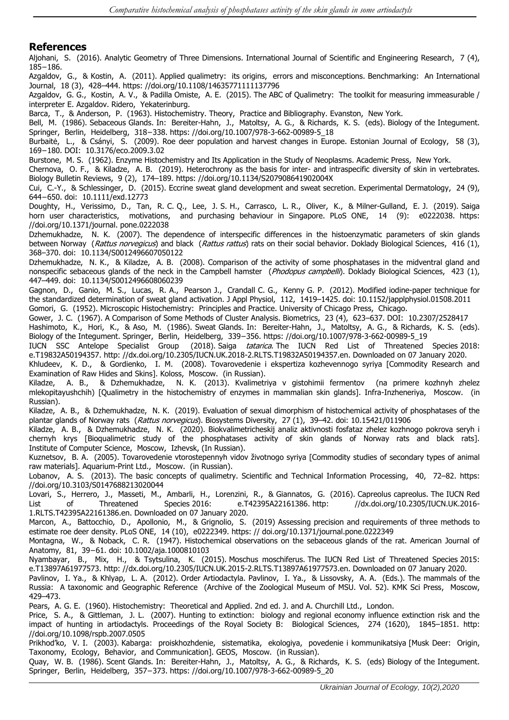### **References**

Aljohani, S. (2016). Analytic Geometry of Three Dimensions. International Journal of Scientific and Engineering Research, 7 (4), 185−186.

Azgaldov, G., & Kostin, A. (2011). Applied qualimetry: its origins, errors and misconceptions. Benchmarking: An International Journal, 18 (3), 428–444. [https: //doi.org/10.1108/14635771111137796](https://doi.org/10.1108/14635771111137796)

Azgaldov, G. G., Kostin, A. V., & Padilla Omiste, A. E. (2015). The ABC of Qualimetry: The toolkit for measuring immeasurable / interpreter E. Azgaldov. Ridero, Yekaterinburg.

Barca, T., & Anderson, P. (1963). Histochemistry. Theory, Practice and Bibliography. Evanston, New York.

Bell, M. (1986). Sebaceous Glands. In: Bereiter-Hahn, J., Matoltsy, A. G., & Richards, K. S. (eds). Biology of the Integument. Springer, Berlin, Heidelberg, 318−338. [https: //doi.org/10.1007/978-3-662-00989-5\\_18](https://doi.org/10.1007/978-3-662-00989-5_18)

Burbaitė, L., & Csányi, S. (2009). Roe deer population and harvest changes in Europe. Estonian Journal of Ecology, 58 (3), 169−180. DOI: 10.3176/eco.2009.3.02

Burstone, M. S. (1962). Enzyme Histochemistry and Its Application in the Study of Neoplasms. Academic Press, New York.

Chernova, O. F., & Kiladze, A. B. (2019). Heterochrony as the basis for inter- and intraspecific diversity of skin in vertebrates. Biology Bulletin Reviews, 9 (2), 174–189. [https: //doi.org/10.1134/S207908641902004X](https://doi.org/10.1134/S207908641902004X)

Cui, C.‐Y., & Schlessinger, D. (2015). Eccrine sweat gland development and sweat secretion. Experimental Dermatology, 24 (9), 644−650. doi: 10.1111/exd.12773

Doughty, H., Verissimo, D., Tan, R. C. Q., Lee, J. S. H., Carrasco, L. R., Oliver, K., & Milner-Gulland, E. J. (2019). Saiga horn user characteristics, motivations, and purchasing behaviour in Singapore. PLoS ONE, 14 (9): e0222038. https: [//doi.org/10.1371/journal. pone.0222038](https://doi.org/10.1371/journal.%20pone.0222038)

Dzhemukhadze, N. K. (2007). The dependence of interspecific differences in the histoenzymatic parameters of skin glands between Norway (Rattus norvegicus) and black (Rattus rattus) rats on their social behavior. Doklady Biological Sciences, 416 (1), 368–370. doi: 10.1134/S0012496607050122

Dzhemukhadze, N. K., & Kiladze, A. B. (2008). Comparison of the activity of some phosphatases in the midventral gland and nonspecific sebaceous glands of the neck in the Campbell hamster (Phodopus campbelli). Doklady Biological Sciences, 423 (1), 447–449. doi: 10.1134/S0012496608060239

Gagnon, D., Ganio, M. S., Lucas, R. A., Pearson J., Crandall C. G., Kenny G. P. (2012). Modified iodine-paper technique for the standardized determination of sweat gland activation. J Appl Physiol, 112, 1419–1425. doi: 10.1152/japplphysiol.01508.2011 Gomori, G. (1952). Microscopic Histochemistry: Principles and Practice. University of Chicago Press, Chicago.

Gower, J. C. (1967). A Comparison of Some Methods of Cluster Analysis. Biometrics, 23 (4), 623–637. DOI: 10.2307/2528417

Hashimoto, K., Hori, K., & Aso, M. (1986). Sweat Glands. In: Bereiter-Hahn, J., Matoltsy, A. G., & Richards, K. S. (eds). Biology of the Integument. Springer, Berlin, Heidelberg, 339−356. [https: //doi.org/10.1007/978-3-662-00989-5\\_19](https://doi.org/10.1007/978-3-662-00989-5_19)

IUCN SSC Antelope Specialist Group (2018). Saiga tatarica. The IUCN Red List of Threatened Species 2018: e.T19832A50194357. [http: //dx.doi.org/10.2305/IUCN.UK.2018-2.RLTS.T19832A50194357.en.](http://dx.doi.org/10.2305/IUCN.UK.2018-2.RLTS.T19832A50194357.en) Downloaded on 07 January 2020.

Khludeev, K. D., & Gordienko, I. M. (2008). Tovarovedenie i ekspertiza kozhevennogo syriya [Commodity Research and Examination of Raw Hides and Skins]. Koloss, Moscow. (in Russian).

Kiladze, A. B., & Dzhemukhadze, N. K. (2013). Kvalimetriya v gistohimii fermentov (na primere kozhnyh zhelez mlekopitayushchih) [Qualimetry in the histochemistry of enzymes in mammalian skin glands]. Infra-Inzheneriya, Moscow. (in Russian).

Kiladze, A. B., & Dzhemukhadze, N. K. (2019). Evaluation of sexual dimorphism of histochemical activity of phosphatases of the plantar glands of Norway rats (Rattus norvegicus). Biosystems Diversity, 27 (1), 39-42. doi: 10.15421/011906

Kiladze, A. B., & Dzhemukhadze, N. K. (2020). Biokvalimetricheskij analiz aktivnosti fosfataz zhelez kozhnogo pokrova seryh i chernyh krys [Bioqualimetric study of the phosphatases activity of skin glands of Norway rats and black rats]. Institute of Computer Science, Moscow, Izhevsk, (In Russian).

Kuznetsov, B. A. (2005). Tovarovedenie vtorostepennyh vidov životnogo syriya [Commodity studies of secondary types of animal raw materials]. Aquarium-Print Ltd., Moscow. (in Russian).

Lobanov, A. S. (2013). The basic concepts of qualimetry. Scientific and Technical Information Processing, 40, 72–82. [https:](https://doi.org/10.3103/S0147688213020044)  [//doi.org/10.3103/S0147688213020044](https://doi.org/10.3103/S0147688213020044)

Lovari, S., Herrero, J., Masseti, M., Ambarli, H., Lorenzini, R., & Giannatos, G. (2016). Capreolus capreolus. The IUCN Red List of Threatened Species 2016: e.T42395A22161386. [http: //dx.doi.org/10.2305/IUCN.UK.2016-](http://dx.doi.org/10.2305/IUCN.UK.2016-1.RLTS.T42395A22161386.en) [1.RLTS.T42395A22161386.en.](http://dx.doi.org/10.2305/IUCN.UK.2016-1.RLTS.T42395A22161386.en) Downloaded on 07 January 2020.

Marcon, A., Battocchio, D., Apollonio, M., & Grignolio, S. (2019) Assessing precision and requirements of three methods to estimate roe deer density. PLoS ONE, 14 (10), e0222349. https: // doi.org/10.1371/journal.pone.0222349

Montagna, W., & Noback, C. R. (1947). Histochemical observations on the sebaceous glands of the rat. American Journal of Anatomy, 81, 39−61. doi: [10.1002/aja.1000810103](https://doi.org/10.1002/aja.1000810103)

Nyambayar, B., Mix, H., & Tsytsulina, K. (2015). Moschus moschiferus. The IUCN Red List of Threatened Species 2015: e.T13897A61977573. [http: //dx.doi.org/10.2305/IUCN.UK.2015-2.RLTS.T13897A61977573.en.](http://dx.doi.org/10.2305/IUCN.UK.2015-2.RLTS.T13897A61977573.en) Downloaded on 07 January 2020.

Pavlinov, I. Ya., & Khlyap, L. A. (2012). Order Artiodactyla. Pavlinov, I. Ya., & Lissovsky, A. A. (Eds.). The mammals of the Russia: A taxonomic and Geographic Reference (Archive of the Zoological Museum of MSU. Vol. 52). KMK Sci Press, Moscow, 429–473.

Pears, A. G. E. (1960). Histochemistry: Theoretical and Applied. 2nd ed. J. and A. Churchill Ltd., London.

Price, S. A., & Gittleman, J. L. (2007). Hunting to extinction: biology and regional economy influence extinction risk and the impact of hunting in artiodactyls. Proceedings of the Royal Society B: Biological Sciences, 274 (1620), 1845–1851. [http:](http://doi.org/10.1098/rspb.2007.0505)  [//doi.org/10.1098/rspb.2007.0505](http://doi.org/10.1098/rspb.2007.0505)

Prikhod'ko, V. I. (2003). Kabarga: proiskhozhdenie, sistematika, ekologiya, povedenie i kommunikatsiya [Musk Deer: Origin, Taxonomy, Ecology, Behavior, and Communication]. GEOS, Moscow. (in Russian).

Quay, W. B. (1986). Scent Glands. In: Bereiter-Hahn, J., Matoltsy, A. G., & Richards, K. S. (eds) Biology of the Integument. Springer, Berlin, Heidelberg, 357−373. [https: //doi.org/10.1007/978-3-662-00989-5\\_20](https://doi.org/10.1007/978-3-662-00989-5_20)